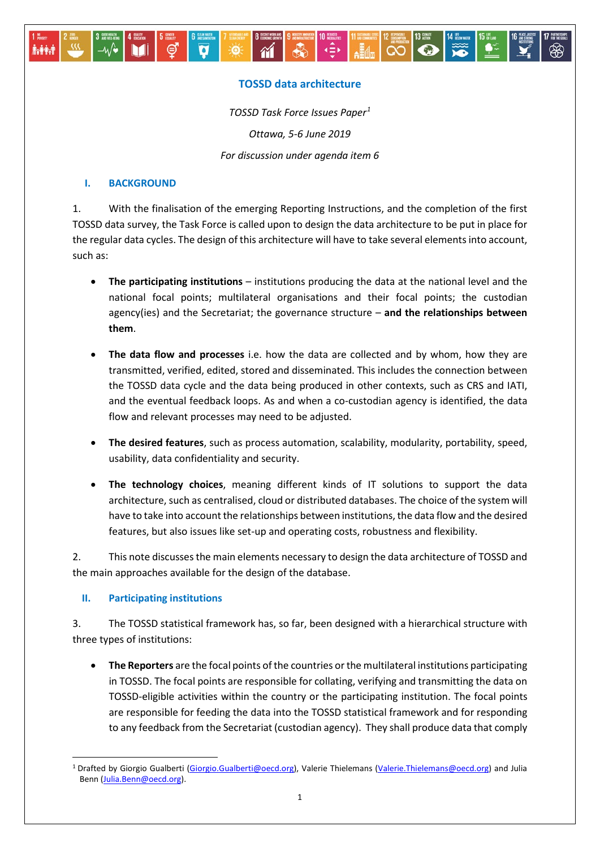# **TOSSD data architecture**

 $\overline{4}$ 

**MOSANTAIN** 

道

 $\mathbf{M}$ 

ි

hí

 $-\omega$ 

**Avital** 

**THE COLOR** 

 $\frac{1}{2}$ 

*TOSSD Task Force Issues Paper[1](#page-0-0) Ottawa, 5-6 June 2019 For discussion under agenda item 6*

#### **I. BACKGROUND**

1. With the finalisation of the emerging Reporting Instructions, and the completion of the first TOSSD data survey, the Task Force is called upon to design the data architecture to be put in place for the regular data cycles. The design of this architecture will have to take several elementsinto account, such as:

- **The participating institutions** institutions producing the data at the national level and the national focal points; multilateral organisations and their focal points; the custodian agency(ies) and the Secretariat; the governance structure – **and the relationships between them**.
- **The data flow and processes** i.e. how the data are collected and by whom, how they are transmitted, verified, edited, stored and disseminated. This includes the connection between the TOSSD data cycle and the data being produced in other contexts, such as CRS and IATI, and the eventual feedback loops. As and when a co-custodian agency is identified, the data flow and relevant processes may need to be adjusted.
- **The desired features**, such as process automation, scalability, modularity, portability, speed, usability, data confidentiality and security.
- **The technology choices**, meaning different kinds of IT solutions to support the data architecture, such as centralised, cloud or distributed databases. The choice of the system will have to take into account the relationships between institutions, the data flow and the desired features, but also issues like set-up and operating costs, robustness and flexibility.

2. This note discusses the main elements necessary to design the data architecture of TOSSD and the main approaches available for the design of the database.

# **II. Participating institutions**

3. The TOSSD statistical framework has, so far, been designed with a hierarchical structure with three types of institutions:

• **The Reporters** are the focal points of the countries or the multilateral institutions participating in TOSSD. The focal points are responsible for collating, verifying and transmitting the data on TOSSD-eligible activities within the country or the participating institution. The focal points are responsible for feeding the data into the TOSSD statistical framework and for responding to any feedback from the Secretariat (custodian agency). They shall produce data that comply

<span id="page-0-0"></span> <sup>1</sup> Drafted by Giorgio Gualberti [\(Giorgio.Gualberti@oecd.org\)](mailto:Giorgio.Gualberti@oecd.org), Valerie Thielemans [\(Valerie.Thielemans@oecd.org\)](mailto:Valerie.Thielemans@oecd.org) and Julia Benn [\(Julia.Benn@oecd.org\)](mailto:Julia.Benn@oecd.org).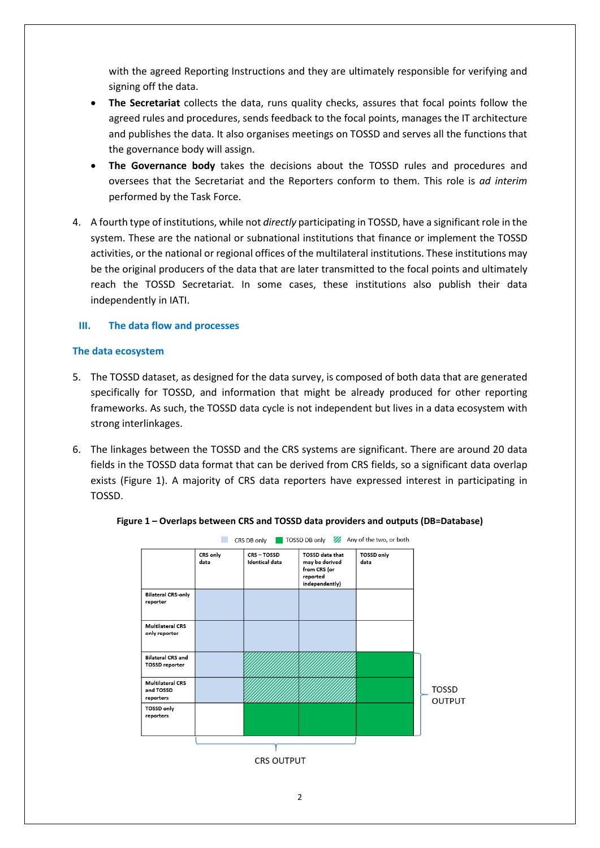with the agreed Reporting Instructions and they are ultimately responsible for verifying and signing off the data.

- **The Secretariat** collects the data, runs quality checks, assures that focal points follow the agreed rules and procedures, sends feedback to the focal points, manages the IT architecture and publishes the data. It also organises meetings on TOSSD and serves all the functions that the governance body will assign.
- **The Governance body** takes the decisions about the TOSSD rules and procedures and oversees that the Secretariat and the Reporters conform to them. This role is *ad interim*  performed by the Task Force.
- 4. A fourth type of institutions, while not *directly* participating in TOSSD, have a significant role in the system. These are the national or subnational institutions that finance or implement the TOSSD activities, or the national or regional offices of the multilateral institutions. These institutions may be the original producers of the data that are later transmitted to the focal points and ultimately reach the TOSSD Secretariat. In some cases, these institutions also publish their data independently in IATI.

### **III. The data flow and processes**

#### **The data ecosystem**

- 5. The TOSSD dataset, as designed for the data survey, is composed of both data that are generated specifically for TOSSD, and information that might be already produced for other reporting frameworks. As such, the TOSSD data cycle is not independent but lives in a data ecosystem with strong interlinkages.
- 6. The linkages between the TOSSD and the CRS systems are significant. There are around 20 data fields in the TOSSD data format that can be derived from CRS fields, so a significant data overlap exists (Figure 1). A majority of CRS data reporters have expressed interest in participating in TOSSD.



#### **Figure 1 – Overlaps between CRS and TOSSD data providers and outputs (DB=Database)**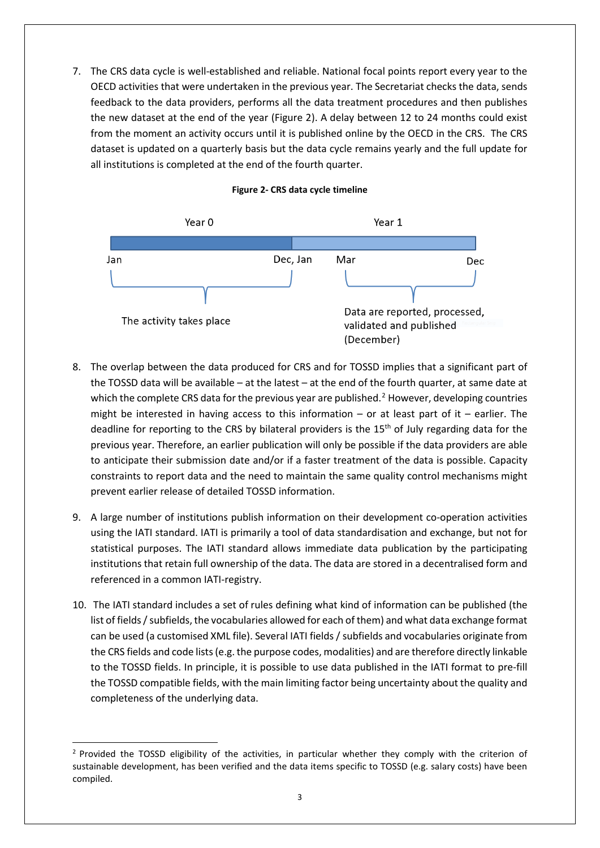7. The CRS data cycle is well-established and reliable. National focal points report every year to the OECD activities that were undertaken in the previous year. The Secretariat checks the data, sends feedback to the data providers, performs all the data treatment procedures and then publishes the new dataset at the end of the year (Figure 2). A delay between 12 to 24 months could exist from the moment an activity occurs until it is published online by the OECD in the CRS. The CRS dataset is updated on a quarterly basis but the data cycle remains yearly and the full update for all institutions is completed at the end of the fourth quarter.





- 8. The overlap between the data produced for CRS and for TOSSD implies that a significant part of the TOSSD data will be available – at the latest – at the end of the fourth quarter, at same date at which the complete CRS data for the previous year are published.<sup>[2](#page-2-0)</sup> However, developing countries might be interested in having access to this information – or at least part of it – earlier. The deadline for reporting to the CRS by bilateral providers is the  $15<sup>th</sup>$  of July regarding data for the previous year. Therefore, an earlier publication will only be possible if the data providers are able to anticipate their submission date and/or if a faster treatment of the data is possible. Capacity constraints to report data and the need to maintain the same quality control mechanisms might prevent earlier release of detailed TOSSD information.
- 9. A large number of institutions publish information on their development co-operation activities using the IATI standard. IATI is primarily a tool of data standardisation and exchange, but not for statistical purposes. The IATI standard allows immediate data publication by the participating institutions that retain full ownership of the data. The data are stored in a decentralised form and referenced in a common IATI-registry.
- 10. The IATI standard includes a set of rules defining what kind of information can be published (the list of fields / subfields, the vocabularies allowed for each of them) and what data exchange format can be used (a customised XML file). Several IATI fields / subfields and vocabularies originate from the CRS fields and code lists (e.g. the purpose codes, modalities) and are therefore directly linkable to the TOSSD fields. In principle, it is possible to use data published in the IATI format to pre-fill the TOSSD compatible fields, with the main limiting factor being uncertainty about the quality and completeness of the underlying data.

<span id="page-2-0"></span><sup>&</sup>lt;sup>2</sup> Provided the TOSSD eligibility of the activities, in particular whether they comply with the criterion of sustainable development, has been verified and the data items specific to TOSSD (e.g. salary costs) have been compiled.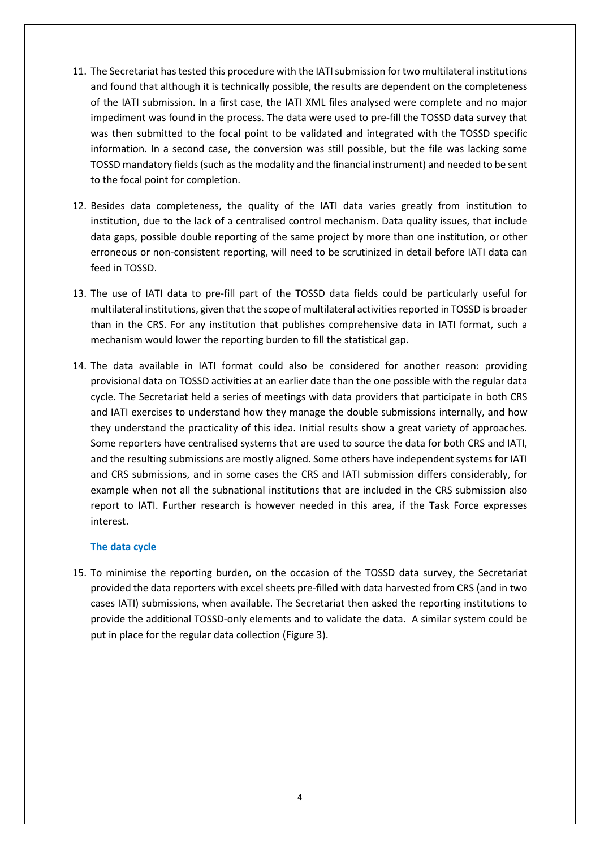- 11. The Secretariat has tested this procedure with the IATI submission for two multilateral institutions and found that although it is technically possible, the results are dependent on the completeness of the IATI submission. In a first case, the IATI XML files analysed were complete and no major impediment was found in the process. The data were used to pre-fill the TOSSD data survey that was then submitted to the focal point to be validated and integrated with the TOSSD specific information. In a second case, the conversion was still possible, but the file was lacking some TOSSD mandatory fields (such as the modality and the financial instrument) and needed to be sent to the focal point for completion.
- 12. Besides data completeness, the quality of the IATI data varies greatly from institution to institution, due to the lack of a centralised control mechanism. Data quality issues, that include data gaps, possible double reporting of the same project by more than one institution, or other erroneous or non-consistent reporting, will need to be scrutinized in detail before IATI data can feed in TOSSD.
- 13. The use of IATI data to pre-fill part of the TOSSD data fields could be particularly useful for multilateral institutions, given that the scope of multilateral activitiesreported in TOSSD is broader than in the CRS. For any institution that publishes comprehensive data in IATI format, such a mechanism would lower the reporting burden to fill the statistical gap.
- 14. The data available in IATI format could also be considered for another reason: providing provisional data on TOSSD activities at an earlier date than the one possible with the regular data cycle. The Secretariat held a series of meetings with data providers that participate in both CRS and IATI exercises to understand how they manage the double submissions internally, and how they understand the practicality of this idea. Initial results show a great variety of approaches. Some reporters have centralised systems that are used to source the data for both CRS and IATI, and the resulting submissions are mostly aligned. Some others have independent systems for IATI and CRS submissions, and in some cases the CRS and IATI submission differs considerably, for example when not all the subnational institutions that are included in the CRS submission also report to IATI. Further research is however needed in this area, if the Task Force expresses interest.

#### **The data cycle**

15. To minimise the reporting burden, on the occasion of the TOSSD data survey, the Secretariat provided the data reporters with excel sheets pre-filled with data harvested from CRS (and in two cases IATI) submissions, when available. The Secretariat then asked the reporting institutions to provide the additional TOSSD-only elements and to validate the data. A similar system could be put in place for the regular data collection (Figure 3).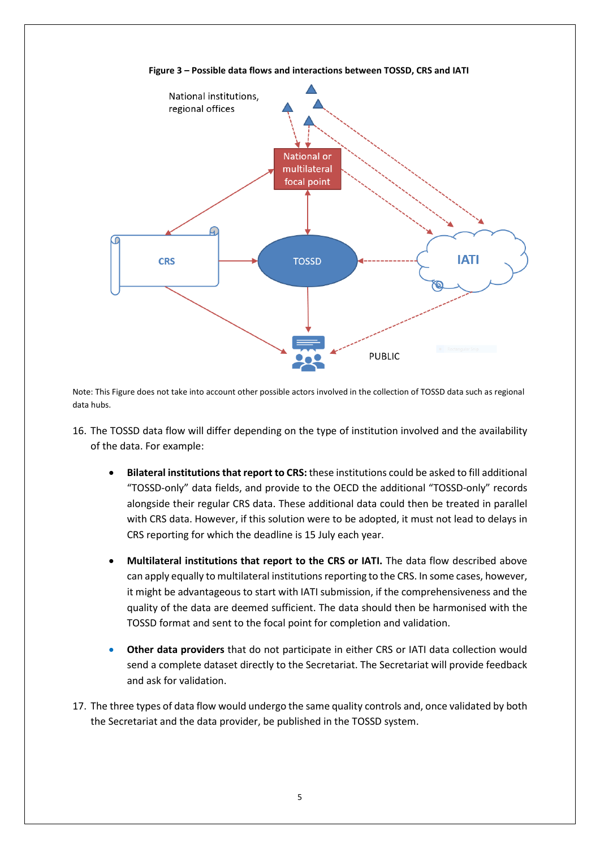

**Figure 3 – Possible data flows and interactions between TOSSD, CRS and IATI**

Note: This Figure does not take into account other possible actors involved in the collection of TOSSD data such as regional data hubs.

- 16. The TOSSD data flow will differ depending on the type of institution involved and the availability of the data. For example:
	- **Bilateral institutions that report to CRS:** these institutions could be asked to fill additional "TOSSD-only" data fields, and provide to the OECD the additional "TOSSD-only" records alongside their regular CRS data. These additional data could then be treated in parallel with CRS data. However, if this solution were to be adopted, it must not lead to delays in CRS reporting for which the deadline is 15 July each year.
	- **Multilateral institutions that report to the CRS or IATI.** The data flow described above can apply equally to multilateral institutions reporting to the CRS. In some cases, however, it might be advantageous to start with IATI submission, if the comprehensiveness and the quality of the data are deemed sufficient. The data should then be harmonised with the TOSSD format and sent to the focal point for completion and validation.
	- **Other data providers** that do not participate in either CRS or IATI data collection would send a complete dataset directly to the Secretariat. The Secretariat will provide feedback and ask for validation.
- 17. The three types of data flow would undergo the same quality controls and, once validated by both the Secretariat and the data provider, be published in the TOSSD system.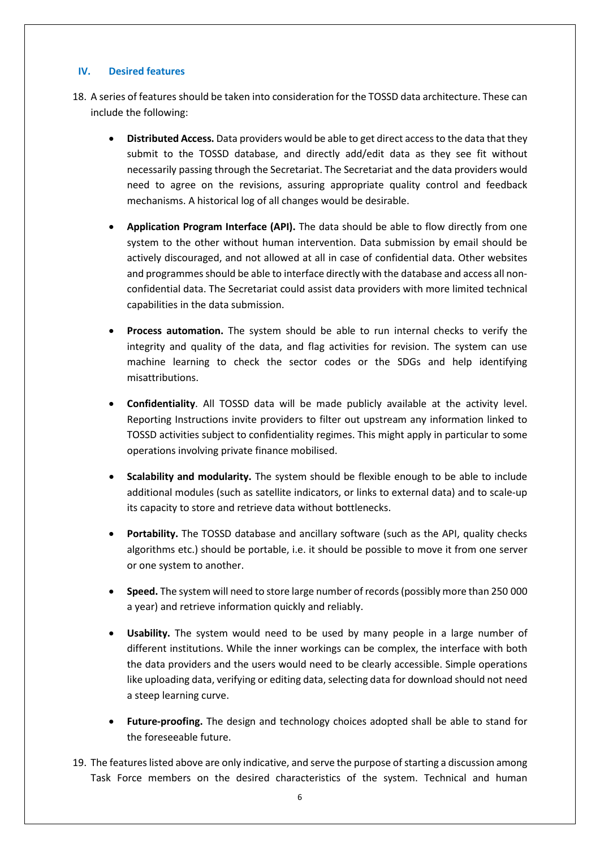## **IV. Desired features**

- 18. A series of features should be taken into consideration for the TOSSD data architecture. These can include the following:
	- **Distributed Access.** Data providers would be able to get direct access to the data that they submit to the TOSSD database, and directly add/edit data as they see fit without necessarily passing through the Secretariat. The Secretariat and the data providers would need to agree on the revisions, assuring appropriate quality control and feedback mechanisms. A historical log of all changes would be desirable.
	- **Application Program Interface (API).** The data should be able to flow directly from one system to the other without human intervention. Data submission by email should be actively discouraged, and not allowed at all in case of confidential data. Other websites and programmes should be able to interface directly with the database and access all nonconfidential data. The Secretariat could assist data providers with more limited technical capabilities in the data submission.
	- **Process automation.** The system should be able to run internal checks to verify the integrity and quality of the data, and flag activities for revision. The system can use machine learning to check the sector codes or the SDGs and help identifying misattributions.
	- **Confidentiality**. All TOSSD data will be made publicly available at the activity level. Reporting Instructions invite providers to filter out upstream any information linked to TOSSD activities subject to confidentiality regimes. This might apply in particular to some operations involving private finance mobilised.
	- **Scalability and modularity.** The system should be flexible enough to be able to include additional modules (such as satellite indicators, or links to external data) and to scale-up its capacity to store and retrieve data without bottlenecks.
	- **Portability.** The TOSSD database and ancillary software (such as the API, quality checks algorithms etc.) should be portable, i.e. it should be possible to move it from one server or one system to another.
	- **Speed.** The system will need to store large number of records(possibly more than 250 000 a year) and retrieve information quickly and reliably.
	- **Usability.** The system would need to be used by many people in a large number of different institutions. While the inner workings can be complex, the interface with both the data providers and the users would need to be clearly accessible. Simple operations like uploading data, verifying or editing data, selecting data for download should not need a steep learning curve.
	- **Future-proofing.** The design and technology choices adopted shall be able to stand for the foreseeable future.
- 19. The features listed above are only indicative, and serve the purpose of starting a discussion among Task Force members on the desired characteristics of the system. Technical and human